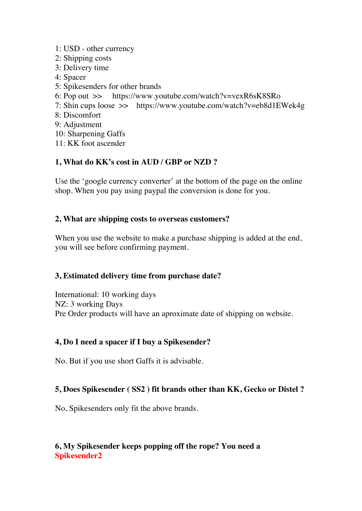- 1: USD other currency
- 2: Shipping costs
- 3: Delivery time
- 4: Spacer
- 5: Spikesenders for other brands
- 6: Pop out >> https://www.youtube.com/watch?v=vexR6sK8SRo
- 7: Shin cups loose >> https://www.youtube.com/watch?v=eb8d1EWek4g
- 8: Discomfort
- 9: Adjustment
- 10: Sharpening Gaffs
- 11: KK foot ascender

# **1, What do KK's cost in AUD / GBP or NZD ?**

Use the 'google currency converter' at the bottom of the page on the online shop. When you pay using paypal the conversion is done for you.

#### **2, What are shipping costs to overseas customers?**

When you use the website to make a purchase shipping is added at the end, you will see before confirming payment.

### **3, Estimated delivery time from purchase date?**

International: 10 working days NZ: 3 working Days Pre Order products will have an aproximate date of shipping on website.

### **4, Do I need a spacer if I buy a Spikesender?**

No. But if you use short Gaffs it is advisable.

### **5, Does Spikesender ( SS2 ) fit brands other than KK, Gecko or Distel ?**

No, Spikesenders only fit the above brands.

### **6, My Spikesender keeps popping off the rope? You need a Spikesender2**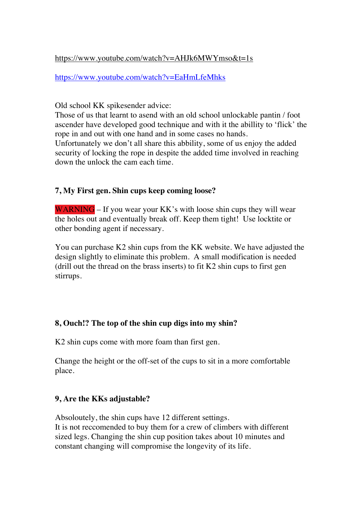#### https://www.youtube.com/watch?v=AHJk6MWYmso&t=1s

https://www.youtube.com/watch?v=EaHmLfeMhks

Old school KK spikesender advice:

Those of us that learnt to asend with an old school unlockable pantin / foot ascender have developed good technique and with it the abillity to 'flick' the rope in and out with one hand and in some cases no hands. Unfortunately we don't all share this abbility, some of us enjoy the added

security of locking the rope in despite the added time involved in reaching down the unlock the cam each time.

# **7, My First gen. Shin cups keep coming loose?**

WARNING – If you wear your KK's with loose shin cups they will wear the holes out and eventually break off. Keep them tight! Use locktite or other bonding agent if necessary.

You can purchase K2 shin cups from the KK website. We have adjusted the design slightly to eliminate this problem. A small modification is needed (drill out the thread on the brass inserts) to fit K2 shin cups to first gen stirrups.

# **8, Ouch!? The top of the shin cup digs into my shin?**

K2 shin cups come with more foam than first gen.

Change the height or the off-set of the cups to sit in a more comfortable place.

# **9, Are the KKs adjustable?**

Absoloutely, the shin cups have 12 different settings.

It is not reccomended to buy them for a crew of climbers with different sized legs. Changing the shin cup position takes about 10 minutes and constant changing will compromise the longevity of its life.